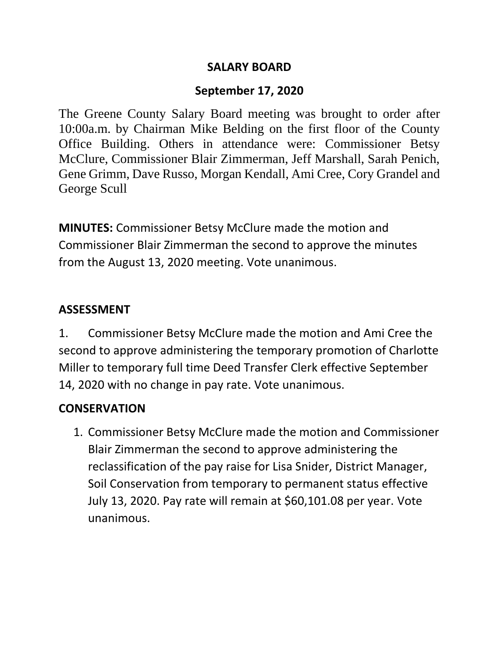#### **SALARY BOARD**

#### **September 17, 2020**

The Greene County Salary Board meeting was brought to order after 10:00a.m. by Chairman Mike Belding on the first floor of the County Office Building. Others in attendance were: Commissioner Betsy McClure, Commissioner Blair Zimmerman, Jeff Marshall, Sarah Penich, Gene Grimm, Dave Russo, Morgan Kendall, Ami Cree, Cory Grandel and George Scull

**MINUTES:** Commissioner Betsy McClure made the motion and Commissioner Blair Zimmerman the second to approve the minutes from the August 13, 2020 meeting. Vote unanimous.

#### **ASSESSMENT**

1. Commissioner Betsy McClure made the motion and Ami Cree the second to approve administering the temporary promotion of Charlotte Miller to temporary full time Deed Transfer Clerk effective September 14, 2020 with no change in pay rate. Vote unanimous.

#### **CONSERVATION**

1. Commissioner Betsy McClure made the motion and Commissioner Blair Zimmerman the second to approve administering the reclassification of the pay raise for Lisa Snider, District Manager, Soil Conservation from temporary to permanent status effective July 13, 2020. Pay rate will remain at \$60,101.08 per year. Vote unanimous.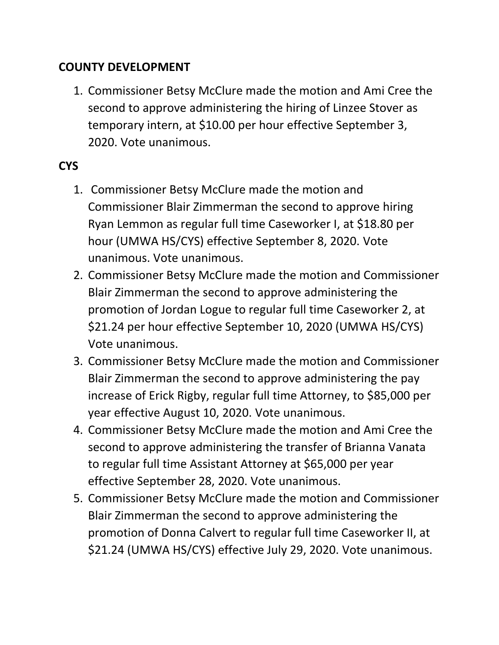#### **COUNTY DEVELOPMENT**

1. Commissioner Betsy McClure made the motion and Ami Cree the second to approve administering the hiring of Linzee Stover as temporary intern, at \$10.00 per hour effective September 3, 2020. Vote unanimous.

# **CYS**

- 1. Commissioner Betsy McClure made the motion and Commissioner Blair Zimmerman the second to approve hiring Ryan Lemmon as regular full time Caseworker I, at \$18.80 per hour (UMWA HS/CYS) effective September 8, 2020. Vote unanimous. Vote unanimous.
- 2. Commissioner Betsy McClure made the motion and Commissioner Blair Zimmerman the second to approve administering the promotion of Jordan Logue to regular full time Caseworker 2, at \$21.24 per hour effective September 10, 2020 (UMWA HS/CYS) Vote unanimous.
- 3. Commissioner Betsy McClure made the motion and Commissioner Blair Zimmerman the second to approve administering the pay increase of Erick Rigby, regular full time Attorney, to \$85,000 per year effective August 10, 2020. Vote unanimous.
- 4. Commissioner Betsy McClure made the motion and Ami Cree the second to approve administering the transfer of Brianna Vanata to regular full time Assistant Attorney at \$65,000 per year effective September 28, 2020. Vote unanimous.
- 5. Commissioner Betsy McClure made the motion and Commissioner Blair Zimmerman the second to approve administering the promotion of Donna Calvert to regular full time Caseworker II, at \$21.24 (UMWA HS/CYS) effective July 29, 2020. Vote unanimous.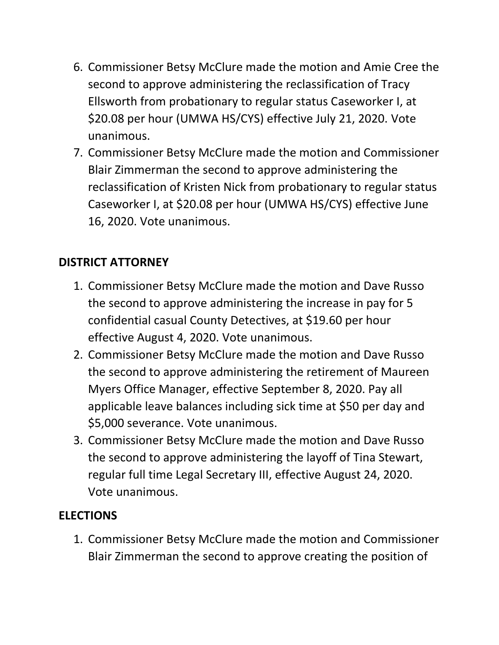- 6. Commissioner Betsy McClure made the motion and Amie Cree the second to approve administering the reclassification of Tracy Ellsworth from probationary to regular status Caseworker I, at \$20.08 per hour (UMWA HS/CYS) effective July 21, 2020. Vote unanimous.
- 7. Commissioner Betsy McClure made the motion and Commissioner Blair Zimmerman the second to approve administering the reclassification of Kristen Nick from probationary to regular status Caseworker I, at \$20.08 per hour (UMWA HS/CYS) effective June 16, 2020. Vote unanimous.

#### **DISTRICT ATTORNEY**

- 1. Commissioner Betsy McClure made the motion and Dave Russo the second to approve administering the increase in pay for 5 confidential casual County Detectives, at \$19.60 per hour effective August 4, 2020. Vote unanimous.
- 2. Commissioner Betsy McClure made the motion and Dave Russo the second to approve administering the retirement of Maureen Myers Office Manager, effective September 8, 2020. Pay all applicable leave balances including sick time at \$50 per day and \$5,000 severance. Vote unanimous.
- 3. Commissioner Betsy McClure made the motion and Dave Russo the second to approve administering the layoff of Tina Stewart, regular full time Legal Secretary III, effective August 24, 2020. Vote unanimous.

#### **ELECTIONS**

1. Commissioner Betsy McClure made the motion and Commissioner Blair Zimmerman the second to approve creating the position of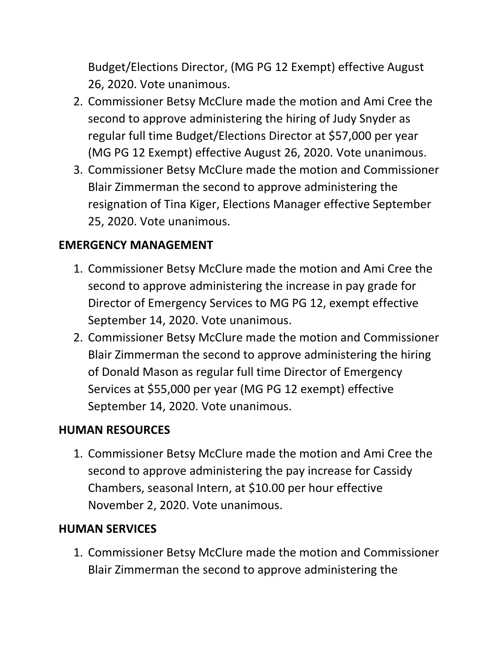Budget/Elections Director, (MG PG 12 Exempt) effective August 26, 2020. Vote unanimous.

- 2. Commissioner Betsy McClure made the motion and Ami Cree the second to approve administering the hiring of Judy Snyder as regular full time Budget/Elections Director at \$57,000 per year (MG PG 12 Exempt) effective August 26, 2020. Vote unanimous.
- 3. Commissioner Betsy McClure made the motion and Commissioner Blair Zimmerman the second to approve administering the resignation of Tina Kiger, Elections Manager effective September 25, 2020. Vote unanimous.

## **EMERGENCY MANAGEMENT**

- 1. Commissioner Betsy McClure made the motion and Ami Cree the second to approve administering the increase in pay grade for Director of Emergency Services to MG PG 12, exempt effective September 14, 2020. Vote unanimous.
- 2. Commissioner Betsy McClure made the motion and Commissioner Blair Zimmerman the second to approve administering the hiring of Donald Mason as regular full time Director of Emergency Services at \$55,000 per year (MG PG 12 exempt) effective September 14, 2020. Vote unanimous.

## **HUMAN RESOURCES**

1. Commissioner Betsy McClure made the motion and Ami Cree the second to approve administering the pay increase for Cassidy Chambers, seasonal Intern, at \$10.00 per hour effective November 2, 2020. Vote unanimous.

## **HUMAN SERVICES**

1. Commissioner Betsy McClure made the motion and Commissioner Blair Zimmerman the second to approve administering the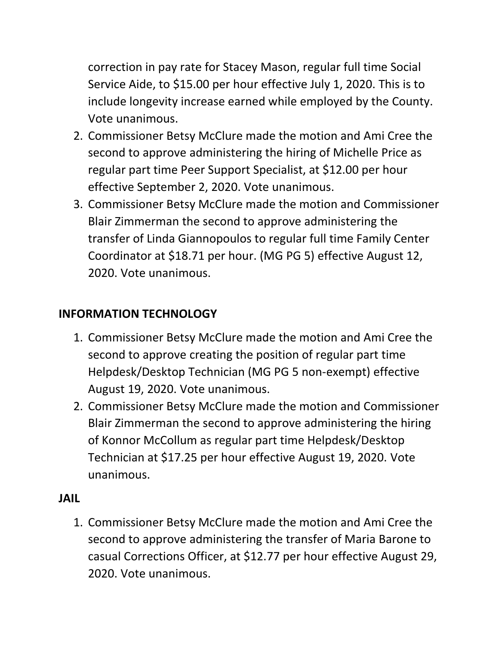correction in pay rate for Stacey Mason, regular full time Social Service Aide, to \$15.00 per hour effective July 1, 2020. This is to include longevity increase earned while employed by the County. Vote unanimous.

- 2. Commissioner Betsy McClure made the motion and Ami Cree the second to approve administering the hiring of Michelle Price as regular part time Peer Support Specialist, at \$12.00 per hour effective September 2, 2020. Vote unanimous.
- 3. Commissioner Betsy McClure made the motion and Commissioner Blair Zimmerman the second to approve administering the transfer of Linda Giannopoulos to regular full time Family Center Coordinator at \$18.71 per hour. (MG PG 5) effective August 12, 2020. Vote unanimous.

# **INFORMATION TECHNOLOGY**

- 1. Commissioner Betsy McClure made the motion and Ami Cree the second to approve creating the position of regular part time Helpdesk/Desktop Technician (MG PG 5 non-exempt) effective August 19, 2020. Vote unanimous.
- 2. Commissioner Betsy McClure made the motion and Commissioner Blair Zimmerman the second to approve administering the hiring of Konnor McCollum as regular part time Helpdesk/Desktop Technician at \$17.25 per hour effective August 19, 2020. Vote unanimous.

## **JAIL**

1. Commissioner Betsy McClure made the motion and Ami Cree the second to approve administering the transfer of Maria Barone to casual Corrections Officer, at \$12.77 per hour effective August 29, 2020. Vote unanimous.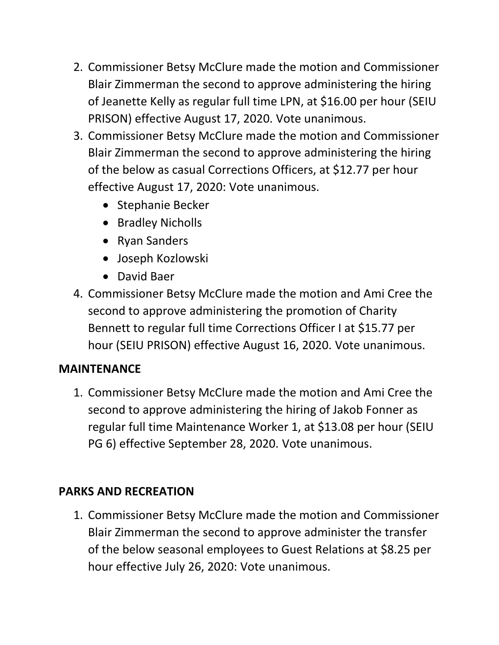- 2. Commissioner Betsy McClure made the motion and Commissioner Blair Zimmerman the second to approve administering the hiring of Jeanette Kelly as regular full time LPN, at \$16.00 per hour (SEIU PRISON) effective August 17, 2020. Vote unanimous.
- 3. Commissioner Betsy McClure made the motion and Commissioner Blair Zimmerman the second to approve administering the hiring of the below as casual Corrections Officers, at \$12.77 per hour effective August 17, 2020: Vote unanimous.
	- Stephanie Becker
	- Bradley Nicholls
	- Ryan Sanders
	- Joseph Kozlowski
	- David Baer
- 4. Commissioner Betsy McClure made the motion and Ami Cree the second to approve administering the promotion of Charity Bennett to regular full time Corrections Officer I at \$15.77 per hour (SEIU PRISON) effective August 16, 2020. Vote unanimous.

## **MAINTENANCE**

1. Commissioner Betsy McClure made the motion and Ami Cree the second to approve administering the hiring of Jakob Fonner as regular full time Maintenance Worker 1, at \$13.08 per hour (SEIU PG 6) effective September 28, 2020. Vote unanimous.

## **PARKS AND RECREATION**

1. Commissioner Betsy McClure made the motion and Commissioner Blair Zimmerman the second to approve administer the transfer of the below seasonal employees to Guest Relations at \$8.25 per hour effective July 26, 2020: Vote unanimous.